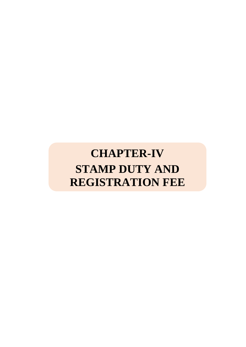# **CHAPTER-IV STAMP DUTY AND REGISTRATION FEE**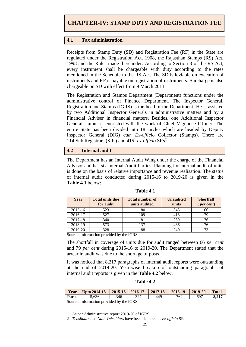## **4.1 Tax administration**

Receipts from Stamp Duty (SD) and Registration Fee (RF) in the State are regulated under the Registration Act, 1908, the Rajasthan Stamps (RS) Act, 1998 and the Rules made thereunder. According to Section 3 of the RS Act, every instrument shall be chargeable with duty according to the rates mentioned in the Schedule to the RS Act. The SD is leviable on execution of instruments and RF is payable on registration of instruments. Surcharge is also chargeable on SD with effect from 9 March 2011.

The Registration and Stamps Department (Department) functions under the administrative control of Finance Department. The Inspector General, Registration and Stamps (IGRS) is the head of the Department. He is assisted by two Additional Inspector Generals in administrative matters and by a Financial Adviser in financial matters. Besides, one Additional Inspector General, Jaipur is entrusted with the work of Chief Vigilance Officer. The entire State has been divided into 18 circles which are headed by Deputy Inspector General (DIG) *cum Ex-officio* Collector (Stamps). There are 114 Sub Registrars (SRs) and 415<sup>1</sup> *ex-officio* SRs<sup>2</sup> .

#### **4.2 Internal audit**

The Department has an Internal Audit Wing under the charge of the Financial Advisor and has six Internal Audit Parties. Planning for internal audit of units is done on the basis of relative importance and revenue realisation. The status of internal audit conducted during 2015-16 to 2019-20 is given in the **Table 4.1** below:

| Year    | <b>Total units due</b><br>for audit | <b>Total number of</b><br>units audited | <b>Unaudited</b><br>units | <b>Shortfall</b><br>$(\text{per cent})$ |
|---------|-------------------------------------|-----------------------------------------|---------------------------|-----------------------------------------|
| 2015-16 | 523                                 | 180                                     | 343                       | 66                                      |
| 2016-17 | 527                                 | 109                                     | 418                       | 79                                      |
| 2017-18 | 340                                 | 81                                      | 259                       |                                         |
| 2018-19 | 573                                 | 137                                     | 436                       |                                         |
| 2019-20 | 328                                 | 88                                      | 240                       |                                         |

**Table 4.1**

Source: Information provided by the IGRS.

The shortfall in coverage of units due for audit ranged between 66 *per cent*  and 79 *per cent* during 2015-16 to 2019-20. The Department stated that the arrear in audit was due to the shortage of posts.

It was noticed that 8,217 paragraphs of internal audit reports were outstanding at the end of 2019-20. Year-wise breakup of outstanding paragraphs of internal audit reports is given in the **Table 4.2** below:

#### **Table 4.2**

| Year                                      | Upto $2014 - 15$ | $2015-16$   $2016-17$ |     | $ 2017-18$ | $ 2018-19$ | 2019-20 | <b>Total</b> |  |
|-------------------------------------------|------------------|-----------------------|-----|------------|------------|---------|--------------|--|
| Paras                                     | 5.636            | 346                   | 327 | 449        | 762        | 697     | 8.217        |  |
| Source: Information provided by the IGRS. |                  |                       |     |            |            |         |              |  |

1 1 As per Administrative report 2019-20 of IGRS.

<sup>2</sup> *Tehsildars* and *Naib Tehsildars* have been declared as *ex-officio* SRs.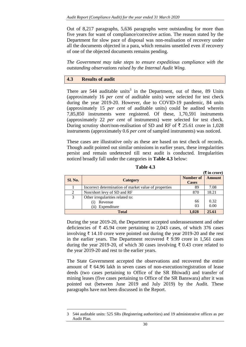Out of 8,217 paragraphs, 5,636 paragraphs were outstanding for more than five years for want of compliance/corrective action. The reason stated by the Department for slow pace of disposal was non-realisation of recovery under all the documents objected in a para, which remains unsettled even if recovery of one of the objected documents remains pending.

*The Government may take steps to ensure expeditious compliance with the outstanding observations raised by the Internal Audit Wing.*

## **4.3 Results of audit**

1

There are  $544$  auditable units<sup>3</sup> in the Department, out of these, 89 Units (approximately 16 *per cent* of auditable units) were selected for test check during the year 2019-20. However, due to COVID-19 pandemic, 84 units (approximately 15 *per cent* of auditable units) could be audited wherein 7,85,850 instruments were registered. Of these, 1,70,591 instruments (approximately 22 *per cent* of instruments) were selected for test check. During scrutiny short/non-realisation of SD and RF of  $\bar{\tau}$  25.61 crore in 1,028 instruments (approximately 0.6 *per cent* of sampled instruments) was noticed.

These cases are illustrative only as these are based on test check of records. Though audit pointed out similar omissions in earlier years, these irregularities persist and remain undetected till next audit is conducted. Irregularities noticed broadly fall under the categories in **Table 4.3** below:

|                |                                                       |                  | л ш сготел    |
|----------------|-------------------------------------------------------|------------------|---------------|
| <b>Sl. No.</b> | Category                                              | <b>Number of</b> | <b>Amount</b> |
|                |                                                       | <b>Cases</b>     |               |
|                | Incorrect determination of market value of properties | 89               | 7.08          |
| 2              | Non/short levy of SD and RF                           | 870              | 18.21         |
| 3              | Other irregularities related to:                      |                  |               |
|                | Revenue<br>$\left( 1 \right)$                         | 66               | 0.32          |
|                | (ii) Expenditure                                      | 03               | 0.00          |
|                | <b>Total</b>                                          | 1,028            | 25.61         |

**Table 4.3**

 $(\mathbf{F}$  in crore)

During the year 2019-20, the Department accepted underassessment and other deficiencies of ₹ 45.94 crore pertaining to 2,043 cases, of which 376 cases involving ₹ 14.10 crore were pointed out during the year 2019-20 and the rest in the earlier years. The Department recovered ₹ 9.99 crore in 1,561 cases during the year 2019-20, of which 30 cases involving  $\bar{\tau}$  0.43 crore related to the year 2019-20 and rest to the earlier years.

The State Government accepted the observations and recovered the entire amount of ₹ 64.96 lakh in seven cases of non-execution/registration of lease deeds (two cases pertaining to Office of the SR Bhiwadi) and transfer of mining leases (five cases pertaining to Office of the SR Banswara) after it was pointed out (between June 2019 and July 2019) by the Audit. These paragraphs have not been discussed in the Report.

<sup>3 544</sup> auditable units: 525 SRs (Registering authorities) and 19 administrative offices as per Audit Plan.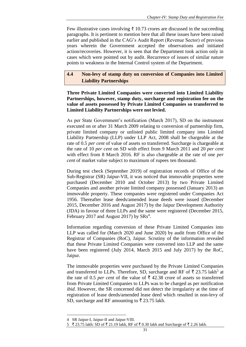Few illustrative cases involving ₹ 10.73 crores are discussed in the succeeding paragraphs. It is pertinent to mention here that all these issues have been raised earlier and published in the CAG's Audit Report (Revenue Sector) of previous years wherein the Government accepted the observations and initiated action/recoveries. However, it is seen that the Department took action only in cases which were pointed out by audit. Recurrence of issues of similar nature points to weakness in the Internal Control system of the Department.

# **4.4 Non-levy of stamp duty on conversion of Companies into Limited Liability Partnerships**

**Three Private Limited Companies were converted into Limited Liability Partnerships, however, stamp duty, surcharge and registration fee on the value of assets possessed by Private Limited Companies so transferred to Limited Liability Partnerships were not levied.** 

As per State Government's notification (March 2017), SD on the instrument executed on or after 31 March 2009 relating to conversion of partnership firm, private limited company or unlisted public limited company into Limited Liability Partnership (LLP) under LLP Act, 2008 shall be chargeable at the rate of 0.5 *per cent* of value of assets so transferred. Surcharge is chargeable at the rate of 10 *per cent* on SD with effect from 9 March 2011 and 20 *per cent* with effect from 8 March 2016. RF is also chargeable at the rate of one *per cent* of market value subject to maximum of rupees ten thousand.

During test check (September 2019) of registration records of Office of the Sub-Registrar (SR) Jaipur-VII, it was noticed that immovable properties were purchased (December 2010 and October 2013) by two Private Limited Companies and another private limited company possessed (January 2013) an immovable property. These companies were registered under Companies Act 1956. Thereafter lease deeds/amended lease deeds were issued (December 2015, December 2016 and August 2017) by the Jaipur Development Authority (JDA) in favour of three LLPs and the same were registered (December 2015, February 2017 and August 2017) by  $S\text{Rs}^4$ .

Information regarding conversion of these Private Limited Companies into LLP was called for (March 2020 and June 2020) by audit from Office of the Registrar of Companies (RoC), Jaipur. Scrutiny of the information revealed that these Private Limited Companies were converted into LLP and the same have been registered (July 2014, March 2015 and July 2017) by the RoC, Jaipur.

The immovable properties were purchased by the Private Limited Companies and transferred to LLPs. Therefore, SD, surcharge and RF of  $\bar{\tau}$  23.75 lakh<sup>5</sup> at the rate of 0.5 *per cent* of the value of  $\bar{\tau}$  42.38 crore of assets so transferred from Private Limited Companies to LLPs was to be charged as per notification *ibid*. However, the SR concerned did not detect the irregularity at the time of registration of lease deeds/amended lease deed which resulted in non-levy of SD, surcharge and RF amounting to  $\bar{\xi}$  23.75 lakh.

<sup>&</sup>lt;u>.</u> 4 SR Jaipur-I, Jaipur-II and Jaipur-VIII.

 $5 \overline{\xi}$  23.75 lakh: SD of  $\overline{\xi}$  21.19 lakh, RF of  $\overline{\xi}$  0.30 lakh and Surcharge of  $\overline{\xi}$  2.26 lakh.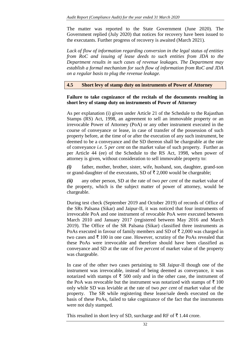The matter was reported to the State Government (June 2020). The Government replied (July 2020) that notices for recovery have been issued to the executants. Further progress of recovery is awaited (March 2021).

*Lack of flow of information regarding conversion in the legal status of entities from RoC and issuing of lease deeds to such entities from JDA to the Department results in such cases of revenue leakages. The Department may establish a formal mechanism for such flow of information from RoC and JDA on a regular basis to plug the revenue leakage.*

**4.5 Short levy of stamp duty on instruments of Power of Attorney** 

## **Failure to take cognizance of the recitals of the documents resulting in short levy of stamp duty on instruments of Power of Attorney**

As per explanation (i) given under Article 21 of the Schedule to the Rajasthan Stamps (RS) Act, 1998, an agreement to sell an immovable property or an irrevocable Power of Attorney (PoA) or any other instrument executed in the course of conveyance or lease, in case of transfer of the possession of such property before, at the time of or after the execution of any such instrument, be deemed to be a conveyance and the SD thereon shall be chargeable at the rate of conveyance *i.e.* 5 *per cent* on the market value of such property. Further as per Article 44 (ee) of the Schedule to the RS Act, 1998, when power of attorney is given, without consideration to sell immovable property to:

*(i)* father, mother, brother, sister, wife, husband, son, daughter, grand-son or grand-daughter of the executants, SD of  $\bar{\tau}$  2,000 would be chargeable;

*(ii)* any other person, SD at the rate of two *per cent* of the market value of the property, which is the subject matter of power of attorney, would be chargeable.

During test check (September 2019 and October 2019) of records of Office of the SRs Palsana (Sikar) and Jaipur-II, it was noticed that four instruments of irrevocable PoA and one instrument of revocable PoA were executed between March 2010 and January 2017 (registered between May 2016 and March 2019). The Office of the SR Palsana (Sikar) classified three instruments as PoAs executed in favour of family members and SD of  $\bar{\tau}$  2,000 was charged in two cases and  $\bar{\tau}$  100 in one case. However, scrutiny of the PoAs revealed that these PoAs were irrevocable and therefore should have been classified as conveyance and SD at the rate of five *percent* of market value of the property was chargeable.

In case of the other two cases pertaining to SR Jaipur-II though one of the instrument was irrevocable, instead of being deemed as conveyance, it was notarized with stamps of  $\bar{\tau}$  500 only and in the other case, the instrument of the PoA was revocable but the instrument was notarized with stamps of  $\bar{\tau}$  100 only while SD was leviable at the rate of two *per cent* of market value of the property. The SR while registering these lease/sale deeds executed on the basis of these PoAs, failed to take cognizance of the fact that the instruments were not duly stamped.

This resulted in short levy of SD, surcharge and RF of  $\bar{\tau}$  1.44 crore.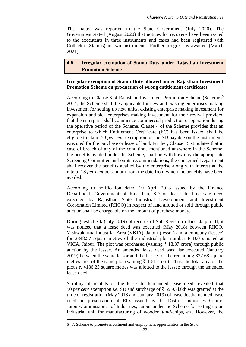The matter was reported to the State Government (July 2020). The Government stated (August 2020) that notices for recovery have been issued to the executants in three instruments and cases had been registered with Collector (Stamps) in two instruments. Further progress is awaited (March 2021).

# **4.6 Irregular exemption of Stamp Duty under Rajasthan Investment Promotion Scheme**

# **Irregular exemption of Stamp Duty allowed under Rajasthan Investment Promotion Scheme on production of wrong entitlement certificates**

According to Clause 3 of Rajasthan Investment Promotion Scheme (Scheme)<sup>6</sup> 2014, the Scheme shall be applicable for new and existing enterprises making investment for setting up new units, existing enterprise making investment for expansion and sick enterprises making investment for their revival provided that the enterprise shall commence commercial production or operation during the operative period of the Scheme. Clause 4 of the Scheme provides that an enterprise to which Entitlement Certificate (EC) has been issued shall be eligible to claim 50 *per cent* exemption on the SD payable on the instruments executed for the purchase or lease of land. Further, Clause 15 stipulates that in case of breach of any of the conditions mentioned anywhere in the Scheme, the benefits availed under the Scheme, shall be withdrawn by the appropriate Screening Committee and on its recommendations, the concerned Department shall recover the benefits availed by the enterprise along with interest at the rate of 18 *per cent* per annum from the date from which the benefits have been availed.

According to notification dated 19 April 2018 issued by the Finance Department, Government of Rajasthan, SD on lease deed or sale deed executed by Rajasthan State Industrial Development and Investment Corporation Limited (RIICO) in respect of land allotted or sold through public auction shall be chargeable on the amount of purchase money.

During test check (July 2019) of records of Sub-Registrar office, Jaipur-III, it was noticed that a lease deed was executed (May 2018) between RIICO, Vishwakarma Industrial Area (VKIA), Jaipur (lessor) and a company (lessee) for 3848.57 square metres of the industrial plot number E-100 situated at VKIA, Jaipur. The plot was purchased (valuing  $\bar{\tau}$  18.37 crore) through public auction by the lessee. An amended lease deed was also executed (January 2019) between the same lessor and the lessee for the remaining 337.68 square metres area of the same plot (valuing  $\bar{\tau}$  1.61 crore). Thus, the total area of the plot *i.e.* 4186.25 square metres was allotted to the lessee through the amended lease deed.

Scrutiny of recitals of the lease deed/amended lease deed revealed that 50 *per cent* exemption *i.e.* SD and surcharge of  $\bar{\tau}$  59.93 lakh was granted at the time of registration (May 2018 and January 2019) of lease deed/amended lease deed on presentation of ECs issued by the District Industries Centre, Jaipur/Commissioner of Industries, Jaipur under the Scheme for setting up an industrial unit for manufacturing of wooden *fanti*/chips, *etc*. However, the

<sup>6</sup> A Scheme to promote investment and employment opportunities in the State.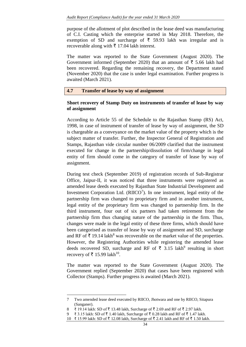purpose of the allotment of plot described in the lease deed was manufacturing of C.I. Casting which the enterprise started in May 2018. Therefore, the exemption of SD and surcharge of  $\overline{\xi}$  59.93 lakh was irregular and is recoverable along with  $\bar{\tau}$  17.04 lakh interest.

The matter was reported to the State Government (August 2020). The Government informed (September 2020) that an amount of  $\bar{\tau}$  5.66 lakh had been recovered. Regarding the remaining recovery, the Department stated (November 2020) that the case is under legal examination. Further progress is awaited (March 2021).

#### **4.7 Transfer of lease by way of assignment**

## *[***Short recovery of Stamp Duty on instruments of transfer of lease by way of assignment**

According to Article 55 of the Schedule to the Rajasthan Stamp (RS) Act, 1998, in case of instrument of transfer of lease by way of assignment, the SD is chargeable as a conveyance on the market value of the property which is the subject matter of transfer. Further, the Inspector General of Registration and Stamps, Rajasthan vide circular number 06/2009 clarified that the instrument executed for change in the partnership/dissolution of firm/change in legal entity of firm should come in the category of transfer of lease by way of assignment.

During test check (September 2019) of registration records of Sub-Registrar Office, Jaipur-II, it was noticed that three instruments were registered as amended lease deeds executed by Rajasthan State Industrial Development and Investment Corporation Ltd.  $(RIICO<sup>7</sup>)$ . In one instrument, legal entity of the partnership firm was changed to proprietary firm and in another instrument, legal entity of the proprietary firm was changed to partnership firm. In the third instrument, four out of six partners had taken retirement from the partnership firm thus changing nature of the partnership in the firm. Thus, changes were made in the legal entity of these three firms, which should have been categorised as transfer of lease by way of assignment and SD, surcharge and RF of  $\bar{\tau}$  19.14 lakh<sup>8</sup> was recoverable on the market value of the properties. However, the Registering Authorities while registering the amended lease deeds recovered SD, surcharge and RF of  $\bar{\tau}$  3.15 lakh<sup>9</sup> resulting in short recovery of ₹ 15.99 lakh<sup>10</sup>.

The matter was reported to the State Government (August 2020). The Government replied (September 2020) that cases have been registered with Collector (Stamps). Further progress is awaited (March 2021).

<sup>7</sup> Two amended lease deed executed by RIICO, Jhotwara and one by RIICO, Sitapura (Sanganer).

<sup>8 ₹ 19.14</sup> lakh: SD of ₹ 13.48 lakh, Surcharge of ₹ 2.69 and RF of ₹ 2.97 lakh.

<sup>₹ 3.15</sup> lakh: SD of ₹ 1.40 lakh, Surcharge of ₹ 0.28 lakh and RF of ₹ 1.47 lakh.

<sup>10 ₹ 15.99</sup> lakh: SD of ₹ 12.08 lakh, Surcharge of ₹ 2.41 lakh and RF of ₹ 1.50 lakh.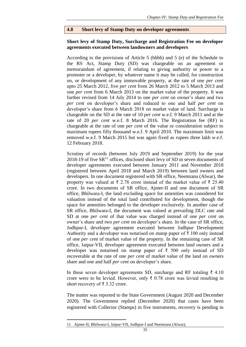## **4.8 Short levy of Stamp Duty on developer agreements**

#### **Short levy of Stamp Duty, Surcharge and Registration Fee on developer agreements executed between landowners and developers**

According to the provisions of Article 5 (bbbb) and 5 (e) of the Schedule to the RS Act, Stamp Duty (SD) was chargeable on an agreement or memorandum of agreement, if relating to giving authority or power to a promoter or a developer, by whatever name it may be called, for construction on, or development of any immovable property, at the rate of one *per cent* upto 25 March 2012, five *per cent* from 26 March 2012 to 5 March 2013 and one *per cent* from 6 March 2013 on the market value of the property. It was further revised from 14 July 2014 to one *per cent* on owner's share and two *per cent* on developer's share and reduced to one and half *per cent* on developer's share from 6 March 2018 on market value of land. Surcharge is chargeable on the SD at the rate of 10 *per cent* w.e.f. 9 March 2011 and at the rate of 20 *per cent* w.e.f. 8 March 2016. The Registration fee (RF) is chargeable at the rate of one *per cent* of the value or consideration subject to maximum rupees fifty thousand w.e.f. 9 April 2010. The maximum limit was removed w.e.f. 9 March 2015 but was again fixed as rupees three lakh w.e.f. 12 February 2018.

Scrutiny of records (between July 2019 and September 2019) for the year 2018-19 of five  $SR<sup>11</sup>$  offices, disclosed short levy of SD in seven documents of developer agreements executed between January 2011 and November 2018 (registered between April 2018 and March 2019) between land owners and developers. In one document registered with SR office, Neemrana (Alwar), the property was valued at ₹ 2.78 crore instead of the market value of ₹ 25.40 crore. In two documents of SR office, Ajmer-II and one document of SR office, Bhilwara-I, the land excluding space for amenities was considered for valuation instead of the total land contributed for development, though the space for amenities belonged to the developer exclusively. In another case of SR office, Bhilwara-I, the document was valued at prevailing DLC rate and SD at one *per cent* of that value was charged instead of one *per cent* on owner's share and two *per cent* on developer's share. In the case of SR office, Jodhpur-I, developer agreement executed between Jodhpur Development Authority and a developer was notarised on stamp paper of  $\bar{\tau}$  100 only instead of one *per cent* of market value of the property. In the remaining case of SR office, Jaipur-VII, developer agreement executed between land owners and a developer was notarised on stamp paper of ₹ 500 only instead of SD recoverable at the rate of one *per cent* of market value of the land on owners share and one and half *per cent* on developer's share.

In these seven developer agreements SD, surcharge and RF totaling ₹ 4.10 crore were to be levied. However, only  $\bar{\tau}$  0.78 crore was levied resulting in short recovery of ₹ 3.32 crore.

The matter was reported to the State Government (August 2020 and December 2020). The Government replied (December 2020) that cases have been registered with Collector (Stamps) in five instruments, recovery is pending in

<sup>11</sup> Ajmer-II, Bhilwara-I, Jaipur-VII, Jodhpur-I and Neemrana (Alwar).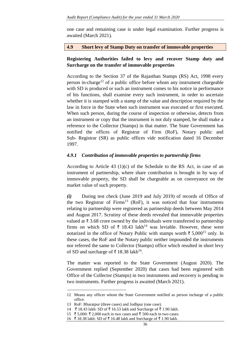one case and remaining case is under legal examination. Further progress is awaited (March 2021).

#### **4.9 Short levy of Stamp Duty on transfer of immovable properties**

# **Registering Authorities failed to levy and recover Stamp duty and Surcharge on the transfer of immovable properties**

According to the Section 37 of the Rajasthan Stamps (RS) Act, 1998 every person in-charge<sup>12</sup> of a public office before whom any instrument chargeable with SD is produced or such an instrument comes to his notice in performance of his functions, shall examine every such instrument, in order to ascertain whether it is stamped with a stamp of the value and description required by the law in force in the State when such instrument was executed or first executed. When such person, during the course of inspection or otherwise, detects from an instrument or copy that the instrument is not duly stamped, he shall make a reference to the Collector (Stamps) in that matter. The State Government has notified the offices of Registrar of Firm (RoF), Notary public and Sub- Registrar (SR) as public offices *vide* notification dated 16 December 1997.

## *4.9.1 Contribution of immovable properties to partnership firms*

According to Article 43 (1)(c) of the Schedule to the RS Act, in case of an instrument of partnership, where share contribution is brought in by way of immovable property, the SD shall be chargeable as on conveyance on the market value of such property.

*(i)* During test check (June 2019 and July 2019) of records of Office of the two Registrar of Firms<sup>13</sup> (RoF), it was noticed that four instruments relating to partnership were registered as partnership deeds between May 2014 and August 2017. Scrutiny of these deeds revealed that immovable properties valued at ₹ 3.68 crore owned by the individuals were transferred to partnership firms on which SD of  $\bar{\tau}$  18.43 lakh<sup>14</sup> was leviable. However, these were notarized in the office of Notary Public with stamps worth  $\bar{\tau}$  5,000<sup>15</sup> only. In these cases, the RoF and the Notary public neither impounded the instruments nor referred the same to Collector (Stamps) office which resulted in short levy of SD and surcharge of ₹ 18.38 lakh<sup>16</sup>.

The matter was reported to the State Government (August 2020). The Government replied (September 2020) that cases had been registered with Office of the Collector (Stamps) in two instruments and recovery is pending in two instruments. Further progress is awaited (March 2021).

1

<sup>12</sup> Means any officer whom the State Government notified as person incharge of a public office.

<sup>13</sup> RoF: Bharatpur (three cases) and Jodhpur (one case).

<sup>14 ₹ 18.43</sup> lakh: SD of ₹ 16.53 lakh and Surcharge of ₹ 1.90 lakh.

<sup>15 ₹ 5,000: ₹ 2,000</sup> each in two cases and ₹ 500 each in two cases.

<sup>16 ₹ 18.38</sup> lakh: SD of ₹ 16.48 lakh and Surcharge of ₹ 1.90 lakh.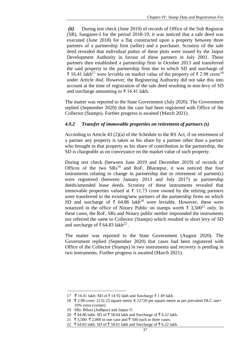*(ii)* During test check (June 2019) of records of Office of the Sub Registrar (SR), Sanganer-I for the period 2018-19, it was noticed that a sale deed was executed (June 2018) for a flat constructed upon a property between three partners of a partnership firm (seller) and a purchaser. Scrutiny of the sale deed revealed that individual *pattas* of these plots were issued by the Jaipur Development Authority in favour of these partners in July 2001. These partners then established a partnership firm in October 2013 and transferred the said property to the partnership firm due to which SD and surcharge of ₹ 16.41 lakh<sup>17</sup> were leviable on market value of the property of ₹ 2.98 crore<sup>18</sup> under Article *ibid*. However, the Registering Authority did not take this into account at the time of registration of the sale deed resulting in non-levy of SD and surcharge amounting to ₹ 16.41 lakh.

The matter was reported to the State Government (July 2020). The Government replied (September 2020) that the case had been registered with Office of the Collector (Stamps). Further progress is awaited (March 2021).

## *4.9.2 Transfer of immovable properties on retirement of partners (s)*

According to Article 43 (2)(a) of the Schedule to the RS Act, if on retirement of a partner any property is taken as his share by a partner other than a partner who brought in that property as his share of contribution in the partnership, the SD is chargeable as on conveyance on the market value of such property.

During test check (between June 2019 and December 2019) of records of Offices of the two  $SRs<sup>19</sup>$  and RoF, Bharatpur, it was noticed that four instruments relating to change in partnership due to retirement of partner(s) were registered (between January 2013 and July 2017) as partnership deeds/amended lease deeds. Scrutiny of these instruments revealed that immovable properties valued at ₹ 11.73 crore owned by the retiring partners were transferred to the existing/new partners of the partnership firms on which SD and surcharge of  $\bar{\xi}$  64.86 lakh<sup>20</sup> were leviable. However, these were notarized in the office of Notary Public on stamps worth ₹ 3,500<sup>21</sup> only. In these cases, the RoF, SRs and Notary public neither impounded the instruments nor referred the same to Collector (Stamps) which resulted in short levy of SD and surcharge of ₹64.83 lakh<sup>22</sup>.

The matter was reported to the State Government (August 2020). The Government replied (September 2020) that cases had been registered with Office of the Collector (Stamps) in two instruments and recovery is pending in two instruments. Further progress is awaited (March 2021).

<sup>17</sup> ₹ 16.41 lakh: SD of ₹ 14.92 lakh and Surcharge ₹ 1.49 lakh.

<sup>18</sup> ₹ 2.98 crore: 2132.23 square metre X 12720 per square metre as per prevalent DLC rate+ 10% extra (corner).

<sup>19</sup> SRs: Bilara (Jodhpur) and Jaipur-V.

<sup>20 ₹ 64.86</sup> lakh: SD of ₹ 58.64 lakh and Surcharge of ₹ 6.22 lakh.

<sup>21 ₹ 3,500: ₹ 2,000</sup> in one case and ₹ 500 each in three cases.

<sup>22 ₹ 64.83</sup> lakh: SD of ₹ 58.61 lakh and Surcharge of ₹ 6.22 lakh.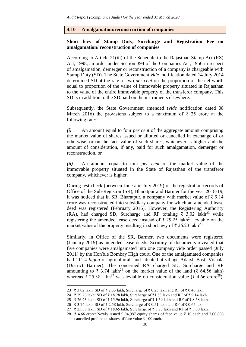#### **4.10 Amalgamation/reconstruction of companies**

## **Short levy of Stamp Duty, Surcharge and Registration Fee on amalgamation/ reconstruction of companies**

According to Article 21(iii) of the Schedule to the Rajasthan Stamp Act (RS) Act, 1998, an order under Section 394 of the Companies Act, 1956 in respect of amalgamation, demerger or reconstruction of a company is chargeable with Stamp Duty (SD). The State Government *vide* notification dated 14 July 2014 determined SD at the rate of two *per cent* on the proportion of the net worth equal to proportion of the value of immovable property situated in Rajasthan to the value of the entire immovable property of the transferor company. This SD is in addition to the SD paid on the instruments elsewhere.

Subsequently, the State Government amended (*vide* notification dated 08 March 2016) the provisions subject to a maximum of  $\bar{\tau}$  25 crore at the following rate:

*(i)* An amount equal to four *per cent* of the aggregate amount comprising the market value of shares issued or allotted or cancelled in exchange of or otherwise, or on the face value of such shares, whichever is higher and the amount of consideration, if any, paid for such amalgamation, demerger or reconstruction, or

*(ii)* An amount equal to four *per cent* of the market value of the immovable property situated in the State of Rajasthan of the transferor company, whichever is higher.

During test check (between June and July 2019) of the registration records of Office of the Sub-Registrar (SR), Bharatpur and Barmer for the year 2018-19, it was noticed that in SR, Bharatpur, a company with market value of ₹ 9.14 crore was reconstructed into subsidiary company for which an amended lease deed was registered (February 2016). However, the Registering Authority (RA), had charged SD, Surcharge and RF totaling  $\bar{\tau}$  3.02 lakh<sup>23</sup> while registering the amended lease deed instead of  $\bar{\tau}$  29.25 lakh<sup>24</sup> leviable on the market value of the property resulting in short levy of ₹ 26.23 lakh<sup>25</sup>.

Similarly, in Office of the SR, Barmer, two documents were registered (January 2019) as amended lease deeds. Scrutiny of documents revealed that five companies were amalgamated into one company vide order passed (July 2011) by the Hon'ble Bombay High court. One of the amalgamated companies had 111.4 *bigha* of agricultural land situated at village Adarsh Basti Vishala (District Barmer). The concerned RA charged SD, Surcharge and RF amounting to  $\bar{\xi}$  3.74 lakh<sup>26</sup> on the market value of the land ( $\bar{\xi}$  64.56 lakh) whereas  $\bar{\xi}$  25.38 lakh<sup>27</sup> was leviable on consideration value ( $\bar{\xi}$  4.66 crore<sup>28</sup>),

1

<sup>23 ₹ 3.02</sup> lakh: SD of ₹ 2.33 lakh, Surcharge of ₹ 0.23 lakh and RF of ₹ 0.46 lakh.

<sup>24 ₹</sup> 29.25 lakh: SD of ₹ 18.28 lakh, Surcharge of ₹1.83 lakh and RF of ₹ 9.14 lakh.

<sup>25 ₹ 26.23</sup> lakh: SD of ₹ 15.96 lakh, Surcharge of ₹ 1.59 lakh and RF of ₹ 8.68 lakh.

<sup>26 ₹ 3.74</sup> lakh: SD of ₹ 2.58 lakh, Surcharge of ₹ 0.51 lakh and RF of ₹ 0.65 lakh.

<sup>27 ₹ 25.38</sup> lakh: SD of ₹ 18.65 lakh, Surcharge of ₹ 3.73 lakh and RF of ₹ 3.00 lakh.

<sup>28</sup> ₹ 4.66 crore: Newly issued 9,94,987 equity shares of face value ₹ 10 each and 3,66,803 cancelled preference shares of face value ₹ 100 each.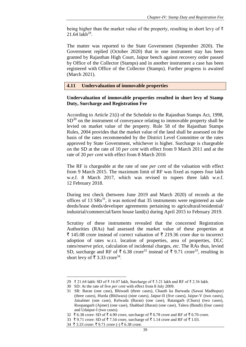being higher than the market value of the property, resulting in short levy of ₹  $21.64$  lakh<sup>29</sup>.

The matter was reported to the State Government (September 2020). The Government replied (October 2020) that in one instrument stay has been granted by Rajasthan High Court, Jaipur bench against recovery order passed by Office of the Collector (Stamps) and in another instrument a case has been registered with Office of the Collector (Stamps). Further progress is awaited (March 2021).

**4.11 Undervaluation of immovable properties**

#### **Undervaluation of immovable properties resulted in short levy of Stamp Duty, Surcharge and Registration Fee**

According to Article 21(i) of the Schedule to the Rajasthan Stamps Act, 1998,  $SD<sup>30</sup>$  on the instrument of conveyance relating to immovable property shall be levied on market value of the property. Rule 58 of the Rajasthan Stamps Rules, 2004 provides that the market value of the land shall be assessed on the basis of the rates recommended by the District Level Committee or the rates approved by State Government, whichever is higher. Surcharge is chargeable on the SD at the rate of 10 *per cent* with effect from 9 March 2011 and at the rate of 20 *per cent* with effect from 8 March 2016

The RF is chargeable at the rate of one *per cent* of the valuation with effect from 9 March 2015. The maximum limit of RF was fixed as rupees four lakh w.e.f. 8 March 2017, which was revised to rupees three lakh w.e.f. 12 February 2018.

During test check (between June 2019 and March 2020) of records at the offices of 13  $SRs<sup>31</sup>$ , it was noticed that 35 instruments were registered as sale deeds/lease deeds/developer agreements pertaining to agricultural/residential/ industrial/commercial/farm house land(s) during April 2015 to February 2019.

Scrutiny of these instruments revealed that the concerned Registration Authorities (RAs) had assessed the market value of these properties at  $\bar{\xi}$  145.08 crore instead of correct valuation of  $\bar{\xi}$  219.36 crore due to incorrect adoption of rates w.r.t. location of properties, area of properties, DLC rates/reserve price, calculation of incidental charges, *etc*. The RAs thus, levied SD, surcharge and RF of  $\bar{\tau}$  6.38 crore<sup>32</sup> instead of  $\bar{\tau}$  9.71 crore<sup>33</sup>, resulting in short levy of  $\bar{\tau}$  3.33 crore<sup>34</sup>.

1

<sup>29 ₹ 21.64</sup> lakh: SD of ₹ 16.07 lakh, Surcharge of ₹ 3.21 lakh and RF of ₹ 2.36 lakh.

<sup>30</sup> SD: At the rate of five *per cent* with effect from 8 July 2009.

<sup>31</sup> SR: Baran (one case), Bhiwadi (three cases), Chauth ka Barwada (Sawai Madhopur) (three cases), Hurda (Bhilwara) (nine cases), Jaipur-II (five cases), Jaipur-V (two cases), Jaisalmer (one case), Kelwada (Baran) (one case), Ratangarh (Churu) (two cases), Roopangarh (Ajmer) (one case), Shahbad (Baran) (one case), Talera (Bundi) (four cases) and Udaipur-I (two cases).

<sup>32 ₹ 6.38</sup> crore: SD of ₹ 4.90 crore, surcharge of ₹ 0.78 crore and RF of ₹ 0.70 crore.

<sup>33</sup>  $\overline{5}$  9.71 crore: SD of  $\overline{5}$  7.54 crore, surcharge of  $\overline{5}$  1.14 crore and RF of  $\overline{5}$  1.03.

<sup>34 ₹ 3.33</sup> crore: ₹ 9.71 crore (-) ₹ 6.38 crore.